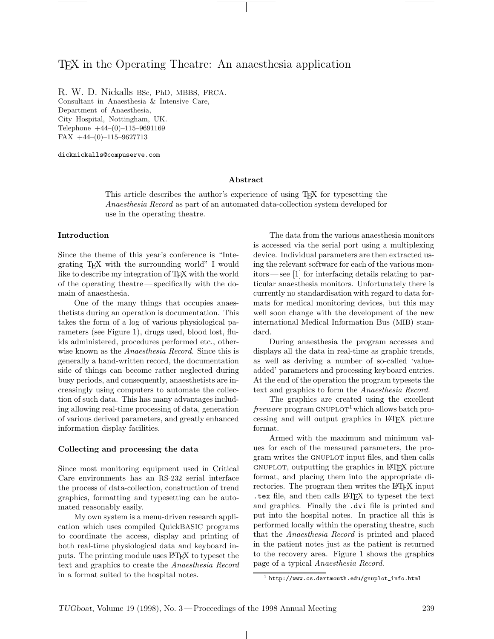# TEX in the Operating Theatre: An anaesthesia application

R. W. D. Nickalls BSc, PhD, MBBS, FRCA. Consultant in Anaesthesia & Intensive Care, Department of Anaesthesia, City Hospital, Nottingham, UK. Telephone +44–(0)–115–9691169 FAX +44–(0)–115–9627713

dicknickalls@compuserve.com

### **Abstract**

This article describes the author's experience of using TEX for typesetting the Anaesthesia Record as part of an automated data-collection system developed for use in the operating theatre.

## **Introduction**

Since the theme of this year's conference is "Integrating TEX with the surrounding world" I would like to describe my integration of TEX with the world of the operating theatre— specifically with the domain of anaesthesia.

One of the many things that occupies anaesthetists during an operation is documentation. This takes the form of a log of various physiological parameters (see Figure 1), drugs used, blood lost, fluids administered, procedures performed etc., otherwise known as the *Anaesthesia Record*. Since this is generally a hand-written record, the documentation side of things can become rather neglected during busy periods, and consequently, anaesthetists are increasingly using computers to automate the collection of such data. This has many advantages including allowing real-time processing of data, generation of various derived parameters, and greatly enhanced information display facilities.

#### **Collecting and processing the data**

Since most monitoring equipment used in Critical Care environments has an RS-232 serial interface the process of data-collection, construction of trend graphics, formatting and typesetting can be automated reasonably easily.

My own system is a menu-driven research application which uses compiled QuickBASIC programs to coordinate the access, display and printing of both real-time physiological data and keyboard inputs. The printing module uses LATEX to typeset the text and graphics to create the Anaesthesia Record in a format suited to the hospital notes.

The data from the various anaesthesia monitors is accessed via the serial port using a multiplexing device. Individual parameters are then extracted using the relevant software for each of the various monitors— see [1] for interfacing details relating to particular anaesthesia monitors. Unfortunately there is currently no standardisation with regard to data formats for medical monitoring devices, but this may well soon change with the development of the new international Medical Information Bus (MIB) standard.

During anaesthesia the program accesses and displays all the data in real-time as graphic trends, as well as deriving a number of so-called 'valueadded' parameters and processing keyboard entries. At the end of the operation the program typesets the text and graphics to form the Anaesthesia Record.

The graphics are created using the excellent *freeware* program  $GNUPLOT<sup>1</sup>$  which allows batch processing and will output graphics in LATEX picture format.

Armed with the maximum and minimum values for each of the measured parameters, the program writes the gnuplot input files, and then calls gnuplot, outputting the graphics in LATEX picture format, and placing them into the appropriate directories. The program then writes the L<sup>AT</sup>EX input .tex file, and then calls LATEX to typeset the text and graphics. Finally the .dvi file is printed and put into the hospital notes. In practice all this is performed locally within the operating theatre, such that the Anaesthesia Record is printed and placed in the patient notes just as the patient is returned to the recovery area. Figure 1 shows the graphics page of a typical Anaesthesia Record.

 $\frac{1}{1}$  http://www.cs.dartmouth.edu/gnuplot\_info.html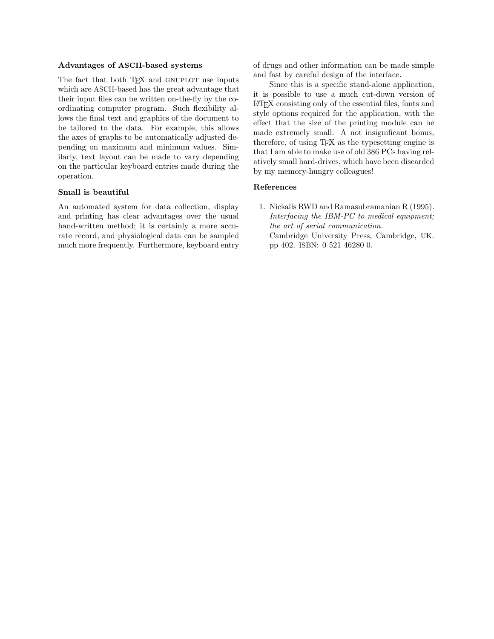### **Advantages of ASCII-based systems**

The fact that both TEX and GNUPLOT use inputs which are ASCII-based has the great advantage that their input files can be written on-the-fly by the coordinating computer program. Such flexibility allows the final text and graphics of the document to be tailored to the data. For example, this allows the axes of graphs to be automatically adjusted depending on maximum and minimum values. Similarly, text layout can be made to vary depending on the particular keyboard entries made during the operation.

# **Small is beautiful**

An automated system for data collection, display and printing has clear advantages over the usual hand-written method; it is certainly a more accurate record, and physiological data can be sampled much more frequently. Furthermore, keyboard entry of drugs and other information can be made simple and fast by careful design of the interface.

Since this is a specific stand-alone application, it is possible to use a much cut-down version of LATEX consisting only of the essential files, fonts and style options required for the application, with the effect that the size of the printing module can be made extremely small. A not insignificant bonus, therefore, of using TEX as the typesetting engine is that I am able to make use of old 386 PCs having relatively small hard-drives, which have been discarded by my memory-hungry colleagues!

# **References**

1. Nickalls RWD and Ramasubramanian R (1995). Interfacing the IBM-PC to medical equipment; the art of serial communication. Cambridge University Press, Cambridge, UK. pp 402. ISBN: 0 521 46280 0.